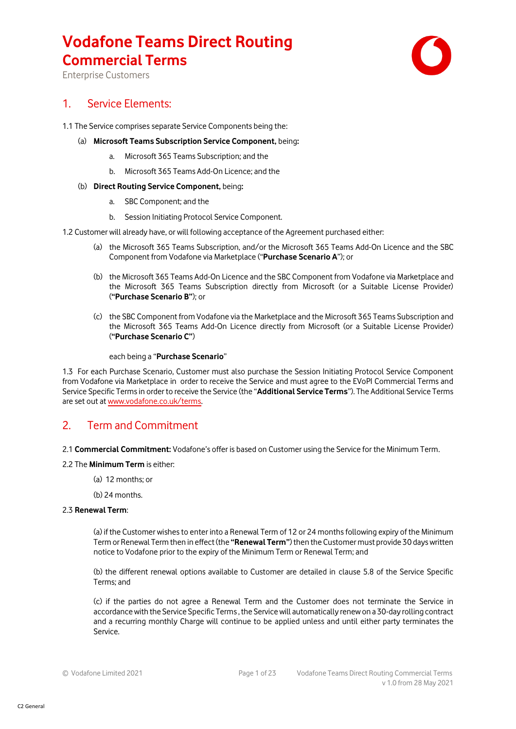

Enterprise Customers

### 1. Service Elements:

1.1 The Service comprises separate Service Components being the:

- (a) **Microsoft Teams Subscription Service Component,** being**:**
	- a. Microsoft 365 Teams Subscription; and the
	- b. Microsoft 365 Teams Add-On Licence; and the

#### (b) **Direct Routing Service Component,** being**:**

- a. SBC Component; and the
- b. Session Initiating Protocol Service Component.

1.2 Customer will already have, or will following acceptance of the Agreement purchased either:

- (a) the Microsoft 365 Teams Subscription, and/or the Microsoft 365 Teams Add-On Licence and the SBC Component from Vodafone via Marketplace ("**Purchase Scenario A**"); or
- (b) the Microsoft 365 Teams Add-On Licence and the SBC Component from Vodafone via Marketplace and the Microsoft 365 Teams Subscription directly from Microsoft (or a Suitable License Provider) (**"Purchase Scenario B"**); or
- (c) the SBC Component from Vodafone via the Marketplace and the Microsoft 365 Teams Subscription and the Microsoft 365 Teams Add-On Licence directly from Microsoft (or a Suitable License Provider) (**"Purchase Scenario C"**)

#### each being a "**Purchase Scenario**"

1.3 For each Purchase Scenario, Customer must also purchase the Session Initiating Protocol Service Component from Vodafone via Marketplace in order to receive the Service and must agree to the EVoPI Commercial Terms and Service Specific Termsin order to receive the Service (the "**Additional Service Terms**"). The Additional Service Terms are set out a[t www.vodafone.co.uk/terms.](http://www.vodafone.co.uk/terms)

### 2. Term and Commitment

2.1 **Commercial Commitment:** Vodafone's offer is based on Customer using the Service for the Minimum Term.

#### 2.2 The **Minimum Term** is either:

- (a) 12 months; or
- (b) 24 months.

### 2.3 **Renewal Term**:

(a) if the Customer wishes to enter into a Renewal Term of 12 or 24 months following expiry of the Minimum Term or Renewal Term then in effect(the **"Renewal Term"**)then the Customer must provide 30 days written notice to Vodafone prior to the expiry of the Minimum Term or Renewal Term; and

(b) the different renewal options available to Customer are detailed in clause 5.8 of the Service Specific Terms; and

(c) if the parties do not agree a Renewal Term and the Customer does not terminate the Service in accordance with the Service Specific Terms , the Service will automatically renew on a 30-day rolling contract and a recurring monthly Charge will continue to be applied unless and until either party terminates the Service.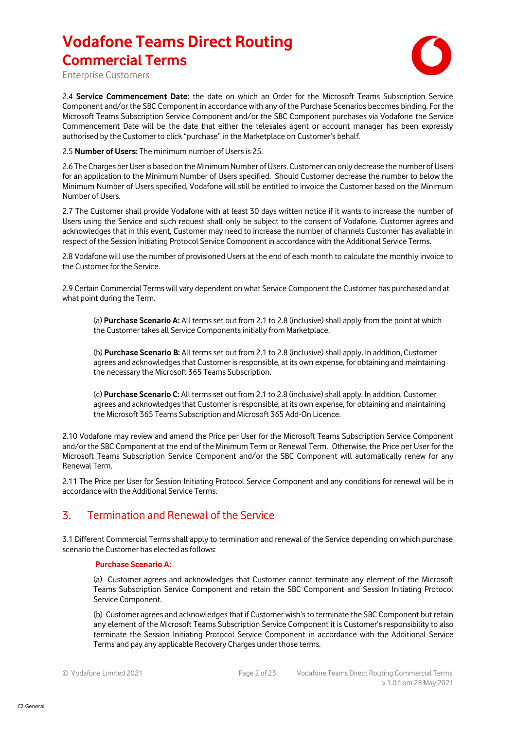

Enterprise Customers

2.4 **Service Commencement Date:** the date on which an Order for the Microsoft Teams Subscription Service Component and/or the SBC Component in accordance with any of the Purchase Scenarios becomes binding. For the Microsoft Teams Subscription Service Component and/or the SBC Component purchases via Vodafone the Service Commencement Date will be the date that either the telesales agent or account manager has been expressly authorised by the Customer to click "purchase" in the Marketplace on Customer's behalf.

2.5 **Number of Users:** The minimum number of Users is 25.

2.6 The Charges per User is based on the Minimum Number of Users. Customer can only decrease the number of Users for an application to the Minimum Number of Users specified. Should Customer decrease the number to below the Minimum Number of Users specified, Vodafone will still be entitled to invoice the Customer based on the Minimum Number of Users.

2.7 The Customer shall provide Vodafone with at least 30 days written notice if it wants to increase the number of Users using the Service and such request shall only be subject to the consent of Vodafone. Customer agrees and acknowledges that in this event, Customer may need to increase the number of channels Customer has available in respect of the Session Initiating Protocol Service Component in accordance with the Additional Service Terms.

2.8 Vodafone will use the number of provisioned Users at the end of each month to calculate the monthly invoice to the Customer for the Service.

2.9 Certain Commercial Terms will vary dependent on what Service Component the Customer has purchased and at what point during the Term.

(a) **Purchase Scenario A:** All terms set out from 2.1 to 2.8 (inclusive) shall apply from the point at which the Customer takes all Service Componentsinitially from Marketplace.

(b) **Purchase Scenario B:** All terms set out from 2.1 to 2.8 (inclusive) shall apply. In addition, Customer agrees and acknowledges that Customer is responsible, at its own expense, for obtaining and maintaining the necessary the Microsoft 365 Teams Subscription.

(c) **Purchase Scenario C:** All terms set out from 2.1 to 2.8 (inclusive) shall apply. In addition, Customer agrees and acknowledges that Customer is responsible, at its own expense, for obtaining and maintaining the Microsoft 365 Teams Subscription and Microsoft 365 Add-On Licence.

2.10 Vodafone may review and amend the Price per User for the Microsoft Teams Subscription Service Component and/or the SBC Component at the end of the Minimum Term or Renewal Term. Otherwise, the Price per User for the Microsoft Teams Subscription Service Component and/or the SBC Component will automatically renew for any Renewal Term.

2.11 The Price per User for Session Initiating Protocol Service Component and any conditions for renewal will be in accordance with the Additional Service Terms.

### 3. Termination and Renewal of the Service

3.1 Different Commercial Terms shall apply to termination and renewal of the Service depending on which purchase scenario the Customer has elected as follows:

### **Purchase Scenario A:**

(a) Customer agrees and acknowledges that Customer cannot terminate any element of the Microsoft Teams Subscription Service Component and retain the SBC Component and Session Initiating Protocol Service Component.

(b) Customer agrees and acknowledges that if Customer wish's to terminate the SBC Component but retain any element of the Microsoft Teams Subscription Service Component it is Customer's responsibility to also terminate the Session Initiating Protocol Service Component in accordance with the Additional Service Terms and pay any applicable Recovery Charges under those terms.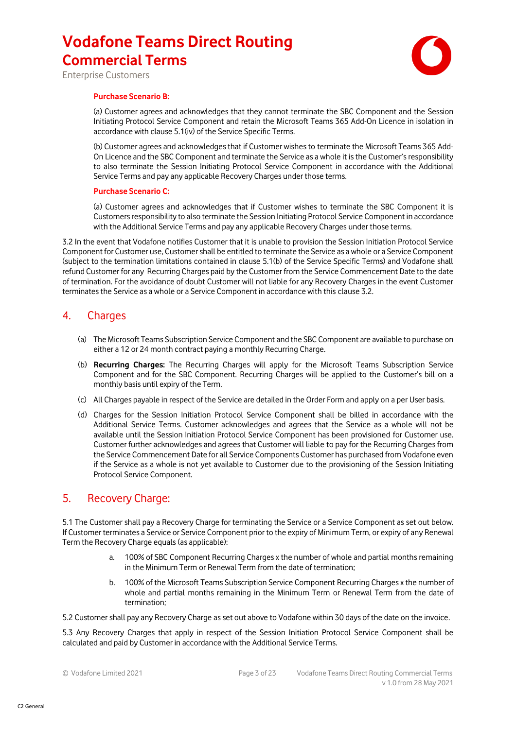

Enterprise Customers

#### **Purchase Scenario B:**

(a) Customer agrees and acknowledges that they cannot terminate the SBC Component and the Session Initiating Protocol Service Component and retain the Microsoft Teams 365 Add-On Licence in isolation in accordance with clause 5.1(iv) of the Service Specific Terms.

(b) Customer agrees and acknowledges that if Customer wishes to terminate the Microsoft Teams 365 Add-On Licence and the SBC Component and terminate the Service as a whole it is the Customer's responsibility to also terminate the Session Initiating Protocol Service Component in accordance with the Additional Service Terms and pay any applicable Recovery Charges under those terms.

#### **Purchase Scenario C:**

(a) Customer agrees and acknowledges that if Customer wishes to terminate the SBC Component it is Customersresponsibility to also terminate the Session Initiating Protocol Service Component in accordance with the Additional Service Terms and pay any applicable Recovery Charges under those terms.

3.2 In the event that Vodafone notifies Customer that it is unable to provision the Session Initiation Protocol Service Component for Customer use, Customer shall be entitled to terminate the Service as a whole or a Service Component (subject to the termination limitations contained in clause 5.1(b) of the Service Specific Terms) and Vodafone shall refund Customer for any Recurring Charges paid by the Customer from the Service Commencement Date to the date of termination. For the avoidance of doubt Customer will not liable for any Recovery Charges in the event Customer terminates the Service as a whole or a Service Component in accordance with this clause 3.2.

### 4. Charges

- (a) The Microsoft Teams Subscription Service Component and the SBC Component are available to purchase on either a 12 or 24 month contract paying a monthly Recurring Charge.
- (b) **Recurring Charges:** The Recurring Charges will apply for the Microsoft Teams Subscription Service Component and for the SBC Component. Recurring Charges will be applied to the Customer's bill on a monthly basis until expiry of the Term.
- (c) All Charges payable in respect of the Service are detailed in the Order Form and apply on a per User basis.
- (d) Charges for the Session Initiation Protocol Service Component shall be billed in accordance with the Additional Service Terms. Customer acknowledges and agrees that the Service as a whole will not be available until the Session Initiation Protocol Service Component has been provisioned for Customer use. Customer further acknowledges and agrees that Customer will liable to pay for the Recurring Charges from the Service Commencement Date for all Service Components Customer has purchased from Vodafone even if the Service as a whole is not yet available to Customer due to the provisioning of the Session Initiating Protocol Service Component.

### 5. Recovery Charge:

5.1 The Customer shall pay a Recovery Charge for terminating the Service or a Service Component as set out below. If Customer terminates a Service or Service Component prior to the expiry of Minimum Term, or expiry of any Renewal Term the Recovery Charge equals (as applicable):

- a. 100% of SBC Component Recurring Charges x the number of whole and partial months remaining in the Minimum Term or Renewal Term from the date of termination;
- b. 100% of the Microsoft Teams Subscription Service Component Recurring Charges x the number of whole and partial months remaining in the Minimum Term or Renewal Term from the date of termination;

5.2 Customer shall pay any Recovery Charge as set out above to Vodafone within 30 days of the date on the invoice.

5.3 Any Recovery Charges that apply in respect of the Session Initiation Protocol Service Component shall be calculated and paid by Customer in accordance with the Additional Service Terms.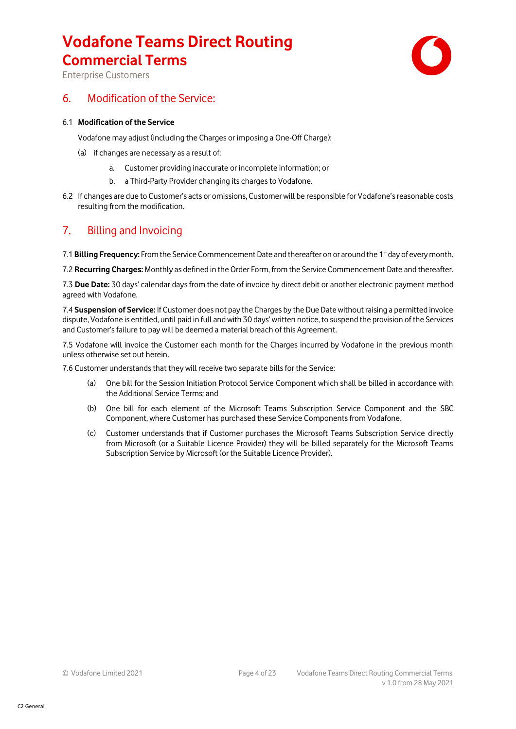

Enterprise Customers

### 6. Modification of the Service:

#### 6.1 **Modification of the Service**

Vodafone may adjust (including the Charges or imposing a One-Off Charge):

- (a) if changes are necessary as a result of:
	- a. Customer providing inaccurate or incomplete information; or
	- b. a Third-Party Provider changing its charges to Vodafone.
- 6.2 If changes are due to Customer's acts or omissions, Customer will be responsible for Vodafone's reasonable costs resulting from the modification.

### 7. Billing and Invoicing

7.1 **Billing Frequency:** From the Service Commencement Date and thereafter on or around the 1st day of every month.

7.2 **Recurring Charges:** Monthly as defined in the Order Form, from the Service Commencement Date and thereafter.

7.3 **Due Date:** 30 days' calendar days from the date of invoice by direct debit or another electronic payment method agreed with Vodafone.

7.4 **Suspension of Service:** If Customer does not pay the Charges by the Due Date without raising a permitted invoice dispute, Vodafone is entitled, until paid in full and with 30 days' written notice, to suspend the provision of the Services and Customer's failure to pay will be deemed a material breach of this Agreement.

7.5 Vodafone will invoice the Customer each month for the Charges incurred by Vodafone in the previous month unless otherwise set out herein.

7.6 Customer understands that they will receive two separate bills for the Service:

- (a) One bill for the Session Initiation Protocol Service Component which shall be billed in accordance with the Additional Service Terms; and
- (b) One bill for each element of the Microsoft Teams Subscription Service Component and the SBC Component, where Customer has purchased these Service Components from Vodafone.
- (c) Customer understands that if Customer purchases the Microsoft Teams Subscription Service directly from Microsoft (or a Suitable Licence Provider) they will be billed separately for the Microsoft Teams Subscription Service by Microsoft (or the Suitable Licence Provider).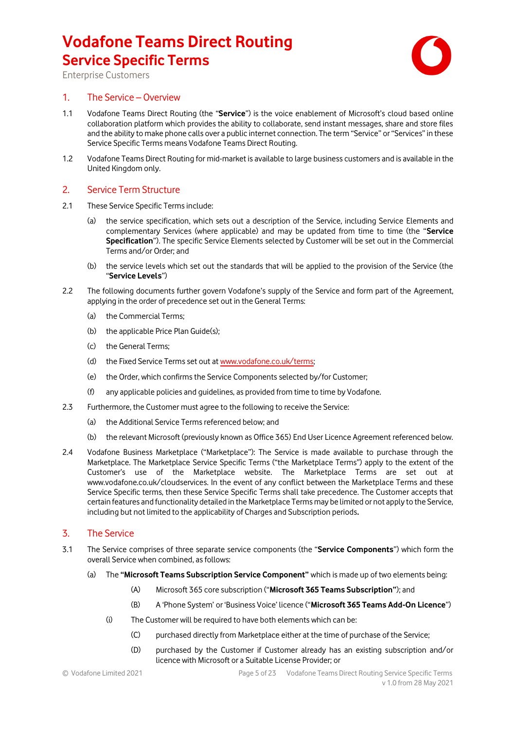

Enterprise Customers

### 1. The Service – Overview

- 1.1 Vodafone Teams Direct Routing (the "**Service**") is the voice enablement of Microsoft's cloud based online collaboration platform which provides the ability to collaborate, send instant messages, share and store files and the ability to make phone calls over a public internet connection. The term "Service" or "Services" in these Service Specific Terms means Vodafone Teams Direct Routing.
- 1.2 Vodafone Teams Direct Routing for mid-market is available to large business customers and is available in the United Kingdom only.

### 2. Service Term Structure

- 2.1 These Service Specific Terms include:
	- (a) the service specification, which sets out a description of the Service, including Service Elements and complementary Services (where applicable) and may be updated from time to time (the "**Service Specification**"). The specific Service Elements selected by Customer will be set out in the Commercial Terms and/or Order; and
	- (b) the service levels which set out the standards that will be applied to the provision of the Service (the "**Service Levels**")
- 2.2 The following documents further govern Vodafone's supply of the Service and form part of the Agreement, applying in the order of precedence set out in the General Terms:
	- (a) the Commercial Terms;
	- (b) the applicable Price Plan Guide(s);
	- (c) the General Terms;
	- (d) the Fixed Service Terms set out a[t www.vodafone.co.uk/terms;](http://www.vodafone.co.uk/terms)
	- (e) the Order, which confirms the Service Components selected by/for Customer;
	- (f) any applicable policies and guidelines, as provided from time to time by Vodafone.
- 2.3 Furthermore, the Customer must agree to the following to receive the Service:
	- (a) the Additional Service Terms referenced below; and
	- (b) the relevant Microsoft (previously known as Office 365) End User Licence Agreement referenced below.
- 2.4 Vodafone Business Marketplace ("Marketplace"): The Service is made available to purchase through the Marketplace. The Marketplace Service Specific Terms ("the Marketplace Terms") apply to the extent of the Customer's use of the Marketplace website. The Marketplace Terms are set out at www.vodafone.co.uk/cloudservices. In the event of any conflict between the Marketplace Terms and these Service Specific terms, then these Service Specific Terms shall take precedence. The Customer accepts that certain features and functionality detailed in the Marketplace Terms may be limited or not apply to the Service, including but not limited to the applicability of Charges and Subscription periods**.**

### 3. The Service

- 3.1 The Service comprises of three separate service components (the "**Service Components**") which form the overall Service when combined, as follows:
	- (a) The **"Microsoft Teams Subscription Service Component"** which is made up of two elements being:
		- (A) Microsoft 365 core subscription ("**Microsoft 365 Teams Subscription"**); and
		- (B) A 'Phone System' or 'Business Voice' licence ("**Microsoft 365 Teams Add-On Licence**")
		- (i) The Customer will be required to have both elements which can be:
			- (C) purchased directly from Marketplace either at the time of purchase of the Service;
			- (D) purchased by the Customer if Customer already has an existing subscription and/or licence with Microsoft or a Suitable License Provider; or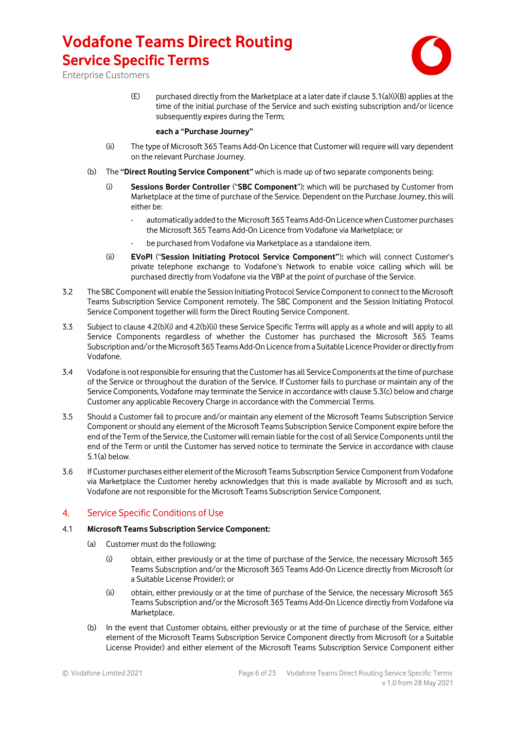

Enterprise Customers

(E) purchased directly from the Marketplace at a later date if clause 3.1(a)(i)(B) applies at the time of the initial purchase of the Service and such existing subscription and/or licence subsequently expires during the Term;

#### **each a "Purchase Journey"**

- (ii) The type of Microsoft 365 Teams Add-On Licence that Customer will require will vary dependent on the relevant Purchase Journey.
- (b) The **"Direct Routing Service Component"** which is made up of two separate components being:
	- (i) **Sessions Border Controller** ("**SBC Component**")**:** which will be purchased by Customer from Marketplace at the time of purchase of the Service. Dependent on the Purchase Journey, this will either be:
		- automatically added to the Microsoft 365 Teams Add-On Licence when Customer purchases the Microsoft 365 Teams Add-On Licence from Vodafone via Marketplace; or
		- be purchased from Vodafone via Marketplace as a standalone item.
	- (ii) **EVoPI** ("**Session Initiating Protocol Service Component"**)**:** which will connect Customer's private telephone exchange to Vodafone's Network to enable voice calling which will be purchased directly from Vodafone via the VBP at the point of purchase of the Service.
- 3.2 The SBC Component will enable the Session Initiating Protocol Service Component to connect to the Microsoft Teams Subscription Service Component remotely. The SBC Component and the Session Initiating Protocol Service Component together will form the Direct Routing Service Component.
- 3.3 Subject to clause 4.2(b)(i) and 4.2(b)(ii) these Service Specific Terms will apply as a whole and will apply to all Service Components regardless of whether the Customer has purchased the Microsoft 365 Teams Subscription and/or the Microsoft 365 Teams Add-On Licence from a Suitable Licence Provider or directly from Vodafone.
- 3.4 Vodafone is not responsible for ensuring that the Customer has all Service Components at the time of purchase of the Service or throughout the duration of the Service. If Customer fails to purchase or maintain any of the Service Components, Vodafone may terminate the Service in accordance with clause 5.3(c) below and charge Customer any applicable Recovery Charge in accordance with the Commercial Terms.
- 3.5 Should a Customer fail to procure and/or maintain any element of the Microsoft Teams Subscription Service Component or should any element of the Microsoft Teams Subscription Service Component expire before the end of the Term of the Service, the Customer will remain liable for the cost of all Service Components until the end of the Term or until the Customer has served notice to terminate the Service in accordance with clause 5.1(a) below.
- 3.6 If Customer purchases either element of the Microsoft Teams Subscription Service Component from Vodafone via Marketplace the Customer hereby acknowledges that this is made available by Microsoft and as such, Vodafone are not responsible for the Microsoft Teams Subscription Service Component.

### 4. Service Specific Conditions of Use

### 4.1 **Microsoft Teams Subscription Service Component:**

- (a) Customer must do the following:
	- (i) obtain, either previously or at the time of purchase of the Service, the necessary Microsoft 365 Teams Subscription and/or the Microsoft 365 Teams Add-On Licence directly from Microsoft (or a Suitable License Provider); or
	- (ii) obtain, either previously or at the time of purchase of the Service, the necessary Microsoft 365 Teams Subscription and/or the Microsoft 365 Teams Add-On Licence directly from Vodafone via Marketplace.
- (b) In the event that Customer obtains, either previously or at the time of purchase of the Service, either element of the Microsoft Teams Subscription Service Component directly from Microsoft (or a Suitable License Provider) and either element of the Microsoft Teams Subscription Service Component either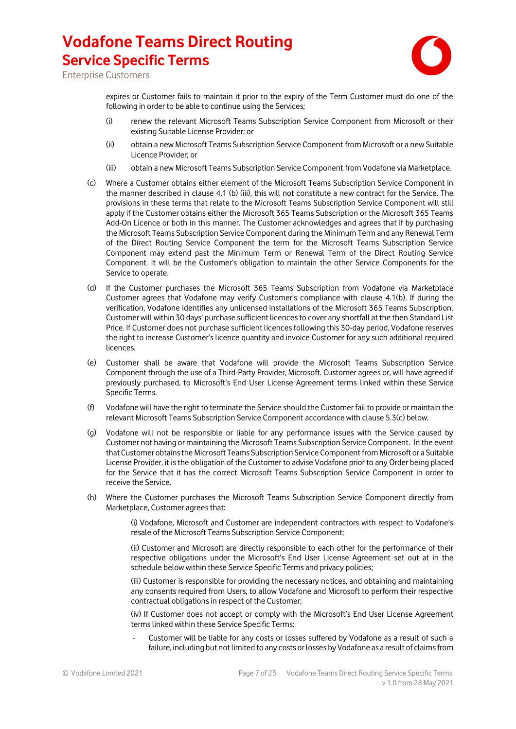

Enterprise Customers

expires or Customer fails to maintain it prior to the expiry of the Term Customer must do one of the following in order to be able to continue using the Services;

- (i) renew the relevant Microsoft Teams Subscription Service Component from Microsoft or their existing Suitable License Provider; or
- (ii) obtain a new Microsoft Teams Subscription Service Component from Microsoft or a new Suitable Licence Provider; or
- (iii) obtain a new Microsoft Teams Subscription Service Component from Vodafone via Marketplace.
- (c) Where a Customer obtains either element of the Microsoft Teams Subscription Service Component in the manner described in clause 4.1 (b) (iii), this will not constitute a new contract for the Service. The provisions in these terms that relate to the Microsoft Teams Subscription Service Component will still apply if the Customer obtains either the Microsoft 365 Teams Subscription or the Microsoft 365 Teams Add-On Licence or both in this manner. The Customer acknowledges and agrees that if by purchasing the Microsoft Teams Subscription Service Component during the Minimum Term and any Renewal Term of the Direct Routing Service Component the term for the Microsoft Teams Subscription Service Component may extend past the Minimum Term or Renewal Term of the Direct Routing Service Component. It will be the Customer's obligation to maintain the other Service Components for the Service to operate.
- (d) If the Customer purchases the Microsoft 365 Teams Subscription from Vodafone via Marketplace Customer agrees that Vodafone may verify Customer's compliance with clause 4.1(b). If during the verification, Vodafone identifies any unlicensed installations of the Microsoft 365 Teams Subscription, Customer will within 30 days' purchase sufficient licences to cover any shortfall at the then Standard List Price. If Customer does not purchase sufficient licences following this 30-day period, Vodafone reserves the right to increase Customer's licence quantity and invoice Customer for any such additional required **licences**
- (e) Customer shall be aware that Vodafone will provide the Microsoft Teams Subscription Service Component through the use of a Third-Party Provider, Microsoft. Customer agrees or, will have agreed if previously purchased, to Microsoft's End User License Agreement terms linked within these Service Specific Terms.
- (f) Vodafone will have the right to terminate the Service should the Customer fail to provide or maintain the relevant Microsoft Teams Subscription Service Component accordance with clause 5.3(c) below.
- (g) Vodafone will not be responsible or liable for any performance issues with the Service caused by Customer not having or maintaining the Microsoft Teams Subscription Service Component. In the event that Customer obtains the Microsoft Teams Subscription Service Component from Microsoft or a Suitable License Provider, it is the obligation of the Customer to advise Vodafone prior to any Order being placed for the Service that it has the correct Microsoft Teams Subscription Service Component in order to receive the Service.
- (h) Where the Customer purchases the Microsoft Teams Subscription Service Component directly from Marketplace, Customer agrees that:

(i) Vodafone, Microsoft and Customer are independent contractors with respect to Vodafone's resale of the Microsoft Teams Subscription Service Component;

(ii) Customer and Microsoft are directly responsible to each other for the performance of their respective obligations under the Microsoft's End User License Agreement set out at in the schedule below within these Service Specific Terms and privacy policies;

(iii) Customer is responsible for providing the necessary notices, and obtaining and maintaining any consents required from Users, to allow Vodafone and Microsoft to perform their respective contractual obligations in respect of the Customer;

(iv) If Customer does not accept or comply with the Microsoft's End User License Agreement terms linked within these Service Specific Terms:

Customer will be liable for any costs or losses suffered by Vodafone as a result of such a failure, including but not limited to any costs or losses by Vodafone as a result of claims from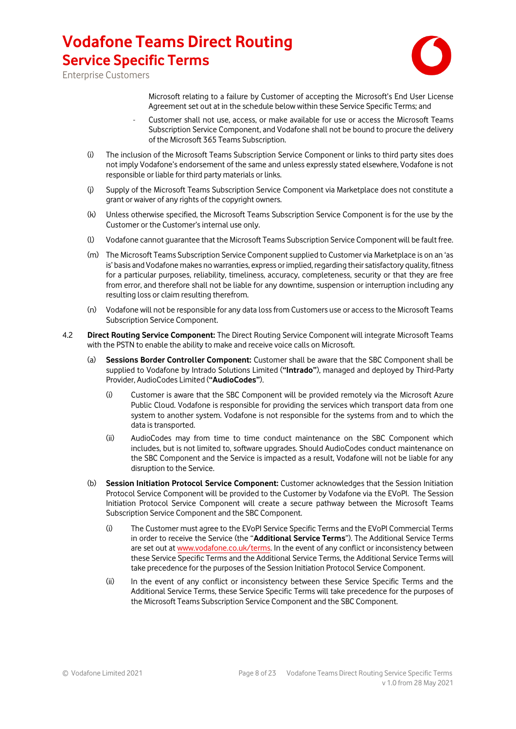

Enterprise Customers

Microsoft relating to a failure by Customer of accepting the Microsoft's End User License Agreement set out at in the schedule below within these Service Specific Terms; and

- Customer shall not use, access, or make available for use or access the Microsoft Teams Subscription Service Component, and Vodafone shall not be bound to procure the delivery of the Microsoft 365 Teams Subscription.
- (i) The inclusion of the Microsoft Teams Subscription Service Component or links to third party sites does not imply Vodafone's endorsement of the same and unless expressly stated elsewhere, Vodafone is not responsible or liable for third party materials or links.
- (j) Supply of the Microsoft Teams Subscription Service Component via Marketplace does not constitute a grant or waiver of any rights of the copyright owners.
- (k) Unless otherwise specified, the Microsoft Teams Subscription Service Component is for the use by the Customer or the Customer's internal use only.
- (l) Vodafone cannot guarantee that the Microsoft Teams Subscription Service Component will be fault free.
- (m) The Microsoft Teams Subscription Service Component supplied to Customer via Marketplace is on an 'as is' basis and Vodafone makes no warranties, express or implied, regarding their satisfactory quality, fitness for a particular purposes, reliability, timeliness, accuracy, completeness, security or that they are free from error, and therefore shall not be liable for any downtime, suspension or interruption including any resulting loss or claim resulting therefrom.
- (n) Vodafone will not be responsible for any data loss from Customers use or access to the Microsoft Teams Subscription Service Component.
- 4.2 **Direct Routing Service Component:** The Direct Routing Service Component will integrate Microsoft Teams with the PSTN to enable the ability to make and receive voice calls on Microsoft.
	- (a) **Sessions Border Controller Component:** Customer shall be aware that the SBC Component shall be supplied to Vodafone by Intrado Solutions Limited (**"Intrado"**), managed and deployed by Third-Party Provider, AudioCodes Limited (**"AudioCodes"**).
		- (i) Customer is aware that the SBC Component will be provided remotely via the Microsoft Azure Public Cloud. Vodafone is responsible for providing the services which transport data from one system to another system. Vodafone is not responsible for the systems from and to which the data is transported.
		- (ii) AudioCodes may from time to time conduct maintenance on the SBC Component which includes, but is not limited to, software upgrades. Should AudioCodes conduct maintenance on the SBC Component and the Service is impacted as a result, Vodafone will not be liable for any disruption to the Service.
	- (b) **Session Initiation Protocol Service Component:** Customer acknowledges that the Session Initiation Protocol Service Component will be provided to the Customer by Vodafone via the EVoPI. The Session Initiation Protocol Service Component will create a secure pathway between the Microsoft Teams Subscription Service Component and the SBC Component.
		- (i) The Customer must agree to the EVoPI Service Specific Terms and the EVoPI Commercial Terms in order to receive the Service (the "**Additional Service Terms**"). The Additional Service Terms are set out a[t www.vodafone.co.uk/terms.](http://www.vodafone.co.uk/terms) In the event of any conflict or inconsistency between these Service Specific Terms and the Additional Service Terms, the Additional Service Terms will take precedence for the purposes of the Session Initiation Protocol Service Component.
		- (ii) In the event of any conflict or inconsistency between these Service Specific Terms and the Additional Service Terms, these Service Specific Terms will take precedence for the purposes of the Microsoft Teams Subscription Service Component and the SBC Component.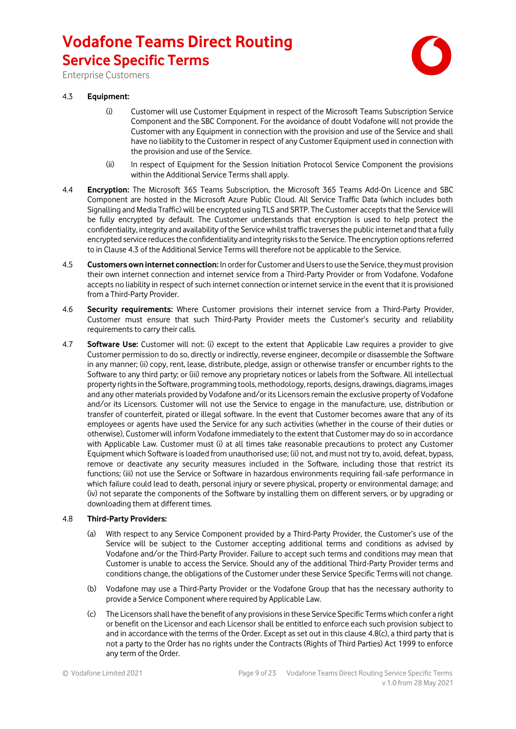

Enterprise Customers

### 4.3 **Equipment:**

- (i) Customer will use Customer Equipment in respect of the Microsoft Teams Subscription Service Component and the SBC Component. For the avoidance of doubt Vodafone will not provide the Customer with any Equipment in connection with the provision and use of the Service and shall have no liability to the Customer in respect of any Customer Equipment used in connection with the provision and use of the Service.
- (ii) In respect of Equipment for the Session Initiation Protocol Service Component the provisions within the Additional Service Terms shall apply.
- 4.4 **Encryption:** The Microsoft 365 Teams Subscription, the Microsoft 365 Teams Add-On Licence and SBC Component are hosted in the Microsoft Azure Public Cloud. All Service Traffic Data (which includes both Signalling and Media Traffic) will be encrypted using TLS and SRTP. The Customer accepts that the Service will be fully encrypted by default. The Customer understands that encryption is used to help protect the confidentiality, integrity and availability of the Service whilst traffic traverses the public internet and that a fully encrypted service reduces the confidentiality and integrity risks to the Service. The encryption options referred to in Clause 4.3 of the Additional Service Terms will therefore not be applicable to the Service.
- 4.5 **Customers own internet connection:** In order for Customer and Users to use the Service, they must provision their own internet connection and internet service from a Third-Party Provider or from Vodafone. Vodafone accepts no liability in respect of such internet connection or internet service in the event that it is provisioned from a Third-Party Provider.
- 4.6 **Security requirements:** Where Customer provisions their internet service from a Third-Party Provider, Customer must ensure that such Third-Party Provider meets the Customer's security and reliability requirements to carry their calls.
- 4.7 **Software Use:** Customer will not: (i) except to the extent that Applicable Law requires a provider to give Customer permission to do so, directly or indirectly, reverse engineer, decompile or disassemble the Software in any manner; (ii) copy, rent, lease, distribute, pledge, assign or otherwise transfer or encumber rights to the Software to any third party; or (iii) remove any proprietary notices or labels from the Software. All intellectual property rights in the Software, programming tools, methodology, reports, designs, drawings, diagrams, images and any other materials provided by Vodafone and/or its Licensorsremain the exclusive property of Vodafone and/or its Licensors. Customer will not use the Service to engage in the manufacture, use, distribution or transfer of counterfeit, pirated or illegal software. In the event that Customer becomes aware that any of its employees or agents have used the Service for any such activities (whether in the course of their duties or otherwise), Customer will inform Vodafone immediately to the extent that Customer may do so in accordance with Applicable Law. Customer must (i) at all times take reasonable precautions to protect any Customer Equipment which Software is loaded from unauthorised use; (ii) not, and must not try to, avoid, defeat, bypass, remove or deactivate any security measures included in the Software, including those that restrict its functions; (iii) not use the Service or Software in hazardous environments requiring fail-safe performance in which failure could lead to death, personal injury or severe physical, property or environmental damage; and (iv) not separate the components of the Software by installing them on different servers, or by upgrading or downloading them at different times.

#### 4.8 **Third-Party Providers:**

- (a) With respect to any Service Component provided by a Third-Party Provider, the Customer's use of the Service will be subject to the Customer accepting additional terms and conditions as advised by Vodafone and/or the Third-Party Provider. Failure to accept such terms and conditions may mean that Customer is unable to access the Service. Should any of the additional Third-Party Provider terms and conditions change, the obligations of the Customer under these Service Specific Terms will not change.
- (b) Vodafone may use a Third-Party Provider or the Vodafone Group that has the necessary authority to provide a Service Component where required by Applicable Law.
- (c) The Licensors shall have the benefit of any provisions in these Service Specific Terms which confer a right or benefit on the Licensor and each Licensor shall be entitled to enforce each such provision subject to and in accordance with the terms of the Order. Except as set out in this clause 4.8(c), a third party that is not a party to the Order has no rights under the Contracts (Rights of Third Parties) Act 1999 to enforce any term of the Order.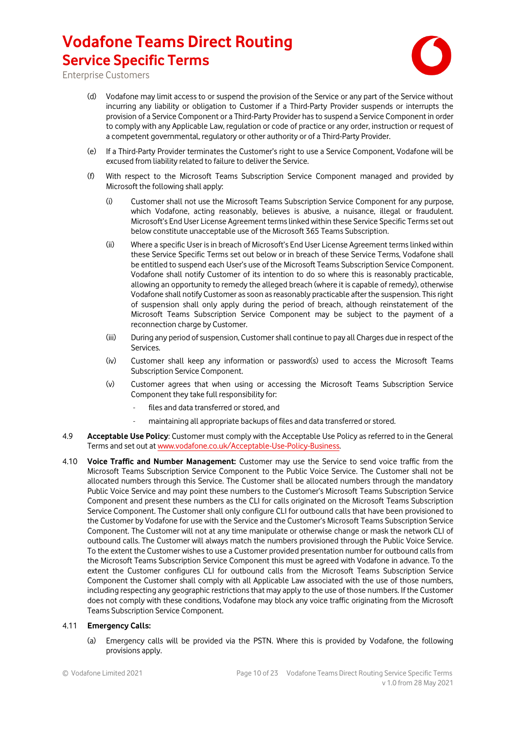

Enterprise Customers

- (d) Vodafone may limit access to or suspend the provision of the Service or any part of the Service without incurring any liability or obligation to Customer if a Third-Party Provider suspends or interrupts the provision of a Service Component or a Third-Party Provider has to suspend a Service Component in order to comply with any Applicable Law, regulation or code of practice or any order, instruction or request of a competent governmental, regulatory or other authority or of a Third-Party Provider.
- (e) If a Third-Party Provider terminates the Customer's right to use a Service Component, Vodafone will be excused from liability related to failure to deliver the Service.
- (f) With respect to the Microsoft Teams Subscription Service Component managed and provided by Microsoft the following shall apply:
	- (i) Customer shall not use the Microsoft Teams Subscription Service Component for any purpose, which Vodafone, acting reasonably, believes is abusive, a nuisance, illegal or fraudulent. Microsoft's End User License Agreement terms linked within these Service Specific Terms set out below constitute unacceptable use of the Microsoft 365 Teams Subscription.
	- (ii) Where a specific User is in breach of Microsoft's End User License Agreement terms linked within these Service Specific Terms set out below or in breach of these Service Terms, Vodafone shall be entitled to suspend each User's use of the Microsoft Teams Subscription Service Component. Vodafone shall notify Customer of its intention to do so where this is reasonably practicable, allowing an opportunity to remedy the alleged breach (where it is capable of remedy), otherwise Vodafone shall notify Customer as soon as reasonably practicable after the suspension. This right of suspension shall only apply during the period of breach, although reinstatement of the Microsoft Teams Subscription Service Component may be subject to the payment of a reconnection charge by Customer.
	- (iii) During any period of suspension, Customer shall continue to pay all Charges due in respect of the Services.
	- (iv) Customer shall keep any information or password(s) used to access the Microsoft Teams Subscription Service Component.
	- (v) Customer agrees that when using or accessing the Microsoft Teams Subscription Service Component they take full responsibility for:
		- files and data transferred or stored, and
		- maintaining all appropriate backups of files and data transferred or stored.
- 4.9 **Acceptable Use Policy**: Customer must comply with the Acceptable Use Policy as referred to in the General Terms and set out at [www.vodafone.co.uk/Acceptable-Use-Policy-Business.](http://www.vodafone.co.uk/Acceptable-Use-Policy-Business)
- 4.10 **Voice Traffic and Number Management:** Customer may use the Service to send voice traffic from the Microsoft Teams Subscription Service Component to the Public Voice Service. The Customer shall not be allocated numbers through this Service. The Customer shall be allocated numbers through the mandatory Public Voice Service and may point these numbers to the Customer's Microsoft Teams Subscription Service Component and present these numbers as the CLI for calls originated on the Microsoft Teams Subscription Service Component. The Customer shall only configure CLI for outbound calls that have been provisioned to the Customer by Vodafone for use with the Service and the Customer's Microsoft Teams Subscription Service Component. The Customer will not at any time manipulate or otherwise change or mask the network CLI of outbound calls. The Customer will always match the numbers provisioned through the Public Voice Service. To the extent the Customer wishes to use a Customer provided presentation number for outbound calls from the Microsoft Teams Subscription Service Component this must be agreed with Vodafone in advance. To the extent the Customer configures CLI for outbound calls from the Microsoft Teams Subscription Service Component the Customer shall comply with all Applicable Law associated with the use of those numbers, including respecting any geographic restrictions that may apply to the use of those numbers. If the Customer does not comply with these conditions, Vodafone may block any voice traffic originating from the Microsoft Teams Subscription Service Component.

#### 4.11 **Emergency Calls:**

(a) Emergency calls will be provided via the PSTN. Where this is provided by Vodafone, the following provisions apply.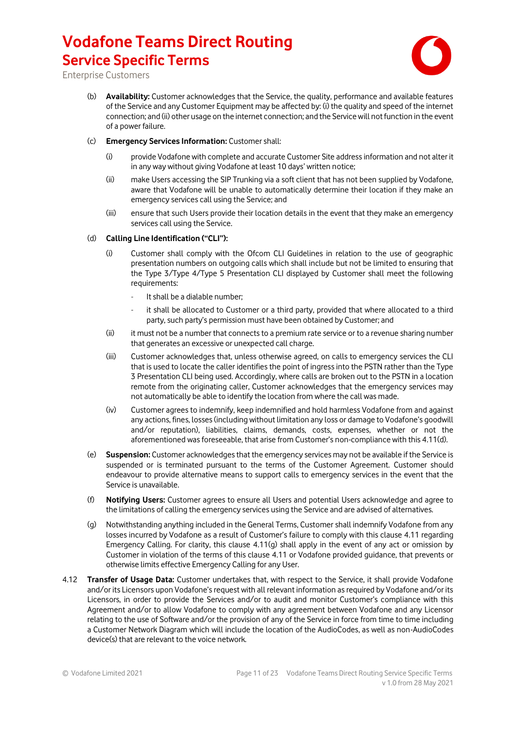

Enterprise Customers

- (b) **Availability:** Customer acknowledges that the Service, the quality, performance and available features of the Service and any Customer Equipment may be affected by: (i) the quality and speed of the internet connection; and (ii) other usage on the internet connection; and the Service will not function in the event of a power failure.
- (c) **Emergency Services Information:** Customer shall:
	- (i) provide Vodafone with complete and accurate Customer Site address information and not alter it in any way without giving Vodafone at least 10 days' written notice;
	- (ii) make Users accessing the SIP Trunking via a soft client that has not been supplied by Vodafone, aware that Vodafone will be unable to automatically determine their location if they make an emergency services call using the Service; and
	- (iii) ensure that such Users provide their location details in the event that they make an emergency services call using the Service.

#### (d) **Calling Line Identification ("CLI"):**

- (i) Customer shall comply with the Ofcom CLI Guidelines in relation to the use of geographic presentation numbers on outgoing calls which shall include but not be limited to ensuring that the Type 3/Type 4/Type 5 Presentation CLI displayed by Customer shall meet the following requirements:
	- It shall be a dialable number:
	- it shall be allocated to Customer or a third party, provided that where allocated to a third party, such party's permission must have been obtained by Customer; and
- (ii) it must not be a number that connects to a premium rate service or to a revenue sharing number that generates an excessive or unexpected call charge.
- (iii) Customer acknowledges that, unless otherwise agreed, on calls to emergency services the CLI that is used to locate the caller identifies the point of ingress into the PSTN rather than the Type 3 Presentation CLI being used. Accordingly, where calls are broken out to the PSTN in a location remote from the originating caller, Customer acknowledges that the emergency services may not automatically be able to identify the location from where the call was made.
- (iv) Customer agrees to indemnify, keep indemnified and hold harmless Vodafone from and against any actions, fines, losses (including without limitation any loss or damage to Vodafone's goodwill and/or reputation), liabilities, claims, demands, costs, expenses, whether or not the aforementioned was foreseeable, that arise from Customer's non-compliance with this 4.11(d).
- (e) **Suspension:** Customer acknowledges that the emergency services may not be available if the Service is suspended or is terminated pursuant to the terms of the Customer Agreement. Customer should endeavour to provide alternative means to support calls to emergency services in the event that the Service is unavailable.
- (f) **Notifying Users:** Customer agrees to ensure all Users and potential Users acknowledge and agree to the limitations of calling the emergency services using the Service and are advised of alternatives.
- (g) Notwithstanding anything included in the General Terms, Customer shall indemnify Vodafone from any losses incurred by Vodafone as a result of Customer's failure to comply with this clause 4.11 regarding Emergency Calling. For clarity, this clause 4.11(g) shall apply in the event of any act or omission by Customer in violation of the terms of this clause 4.11 or Vodafone provided guidance, that prevents or otherwise limits effective Emergency Calling for any User.
- 4.12 **Transfer of Usage Data:** Customer undertakes that, with respect to the Service, it shall provide Vodafone and/or its Licensors upon Vodafone's request with all relevant information as required by Vodafone and/or its Licensors, in order to provide the Services and/or to audit and monitor Customer's compliance with this Agreement and/or to allow Vodafone to comply with any agreement between Vodafone and any Licensor relating to the use of Software and/or the provision of any of the Service in force from time to time including a Customer Network Diagram which will include the location of the AudioCodes, as well as non-AudioCodes device(s) that are relevant to the voice network.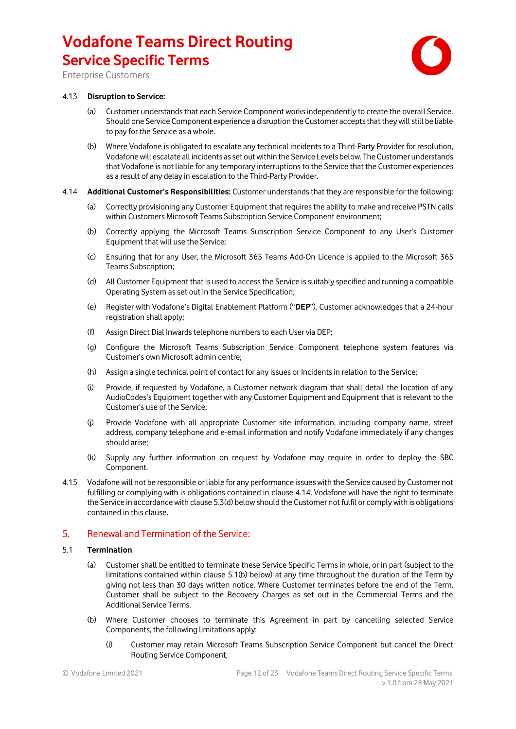

Enterprise Customers

#### 4.13 **Disruption to Service:**

- (a) Customer understands that each Service Component works independently to create the overall Service. Should one Service Component experience a disruption the Customer accepts that they will still be liable to pay for the Service as a whole.
- (b) Where Vodafone is obligated to escalate any technical incidents to a Third-Party Provider for resolution, Vodafone will escalate all incidents as set outwithin the Service Levels below. The Customer understands that Vodafone is not liable for any temporary interruptions to the Service that the Customer experiences as a result of any delay in escalation to the Third-Party Provider.
- 4.14 **Additional Customer's Responsibilities:** Customer understands that they are responsible for the following:
	- (a) Correctly provisioning any Customer Equipment that requires the ability to make and receive PSTN calls within Customers Microsoft Teams Subscription Service Component environment;
	- (b) Correctly applying the Microsoft Teams Subscription Service Component to any User's Customer Equipment that will use the Service;
	- (c) Ensuring that for any User, the Microsoft 365 Teams Add-On Licence is applied to the Microsoft 365 Teams Subscription;
	- (d) All Customer Equipment that is used to access the Service is suitably specified and running a compatible Operating System as set out in the Service Specification;
	- (e) Register with Vodafone's Digital Enablement Platform ("**DEP**"). Customer acknowledges that a 24-hour registration shall apply;
	- (f) Assign Direct Dial Inwards telephone numbers to each User via DEP;
	- (g) Configure the Microsoft Teams Subscription Service Component telephone system features via Customer's own Microsoft admin centre;
	- (h) Assign a single technical point of contact for any issues or Incidents in relation to the Service;
	- (i) Provide, if requested by Vodafone, a Customer network diagram that shall detail the location of any AudioCodes's Equipment together with any Customer Equipment and Equipment that is relevant to the Customer's use of the Service;
	- (j) Provide Vodafone with all appropriate Customer site information, including company name, street address, company telephone and e-email information and notify Vodafone immediately if any changes should arise;
	- (k) Supply any further information on request by Vodafone may require in order to deploy the SBC Component.
- 4.15 Vodafone will not be responsible or liable for any performance issues with the Service caused by Customer not fulfilling or complying with is obligations contained in clause 4.14. Vodafone will have the right to terminate the Service in accordance with clause 5.3(d) below should the Customer not fulfil or comply with is obligations contained in this clause.

### 5. Renewal and Termination of the Service:

#### 5.1 **Termination**

- (a) Customer shall be entitled to terminate these Service Specific Terms in whole, or in part (subject to the limitations contained within clause 5.1(b) below) at any time throughout the duration of the Term by giving not less than 30 days written notice. Where Customer terminates before the end of the Term, Customer shall be subject to the Recovery Charges as set out in the Commercial Terms and the Additional Service Terms.
- (b) Where Customer chooses to terminate this Agreement in part by cancelling selected Service Components, the following limitations apply:
	- (i) Customer may retain Microsoft Teams Subscription Service Component but cancel the Direct Routing Service Component;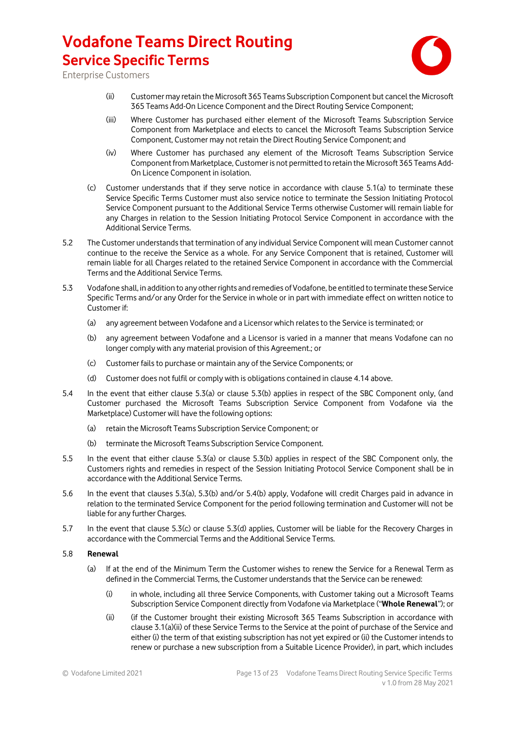

Enterprise Customers

- (ii) Customer may retain the Microsoft 365 Teams Subscription Component but cancel the Microsoft 365 Teams Add-On Licence Component and the Direct Routing Service Component;
- (iii) Where Customer has purchased either element of the Microsoft Teams Subscription Service Component from Marketplace and elects to cancel the Microsoft Teams Subscription Service Component, Customer may not retain the Direct Routing Service Component; and
- (iv) Where Customer has purchased any element of the Microsoft Teams Subscription Service Component from Marketplace, Customer is not permitted to retain the Microsoft 365 Teams Add-On Licence Component in isolation.
- (c) Customer understands that if they serve notice in accordance with clause 5.1(a) to terminate these Service Specific Terms Customer must also service notice to terminate the Session Initiating Protocol Service Component pursuant to the Additional Service Terms otherwise Customer will remain liable for any Charges in relation to the Session Initiating Protocol Service Component in accordance with the Additional Service Terms.
- 5.2 The Customer understands that termination of any individual Service Component will mean Customer cannot continue to the receive the Service as a whole. For any Service Component that is retained, Customer will remain liable for all Charges related to the retained Service Component in accordance with the Commercial Terms and the Additional Service Terms.
- 5.3 Vodafone shall, in addition to any other rights and remedies of Vodafone, be entitled to terminate these Service Specific Terms and/or any Order for the Service in whole or in part with immediate effect on written notice to Customer if:
	- (a) any agreement between Vodafone and a Licensor which relates to the Service is terminated; or
	- (b) any agreement between Vodafone and a Licensor is varied in a manner that means Vodafone can no longer comply with any material provision of this Agreement.; or
	- (c) Customer fails to purchase or maintain any of the Service Components; or
	- (d) Customer does not fulfil or comply with is obligations contained in clause 4.14 above.
- 5.4 In the event that either clause 5.3(a) or clause 5.3(b) applies in respect of the SBC Component only, (and Customer purchased the Microsoft Teams Subscription Service Component from Vodafone via the Marketplace) Customer will have the following options:
	- (a) retain the Microsoft Teams Subscription Service Component; or
	- (b) terminate the Microsoft Teams Subscription Service Component.
- 5.5 In the event that either clause 5.3(a) or clause 5.3(b) applies in respect of the SBC Component only, the Customers rights and remedies in respect of the Session Initiating Protocol Service Component shall be in accordance with the Additional Service Terms.
- 5.6 In the event that clauses 5.3(a), 5.3(b) and/or 5.4(b) apply, Vodafone will credit Charges paid in advance in relation to the terminated Service Component for the period following termination and Customer will not be liable for any further Charges.
- 5.7 In the event that clause 5.3(c) or clause 5.3(d) applies, Customer will be liable for the Recovery Charges in accordance with the Commercial Terms and the Additional Service Terms.

#### 5.8 **Renewal**

- (a) If at the end of the Minimum Term the Customer wishes to renew the Service for a Renewal Term as defined in the Commercial Terms, the Customer understands that the Service can be renewed:
	- (i) in whole, including all three Service Components, with Customer taking out a Microsoft Teams Subscription Service Component directly from Vodafone via Marketplace ("**Whole Renewal**"); or
	- (ii) (if the Customer brought their existing Microsoft 365 Teams Subscription in accordance with clause 3.1(a)(ii) of these Service Terms to the Service at the point of purchase of the Service and either (i) the term of that existing subscription has not yet expired or (ii) the Customer intends to renew or purchase a new subscription from a Suitable Licence Provider), in part, which includes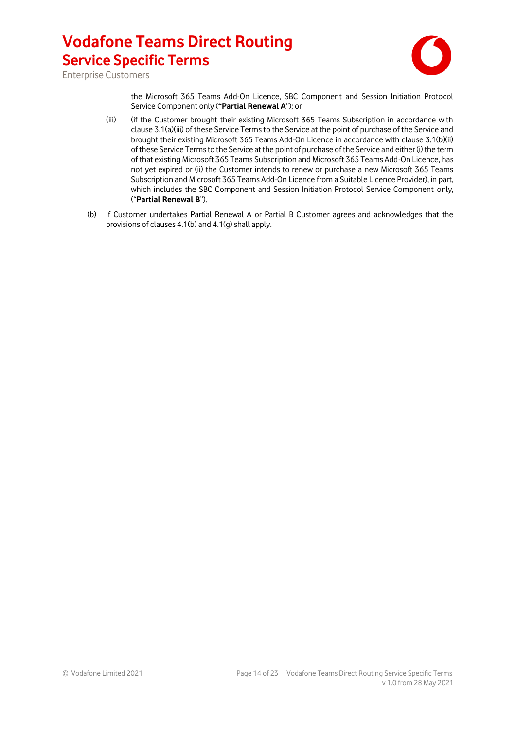

Enterprise Customers

the Microsoft 365 Teams Add-On Licence, SBC Component and Session Initiation Protocol Service Component only (**"Partial Renewal A**"); or

- (iii) (if the Customer brought their existing Microsoft 365 Teams Subscription in accordance with clause 3.1(a)(iii) of these Service Terms to the Service at the point of purchase of the Service and brought their existing Microsoft 365 Teams Add-On Licence in accordance with clause 3.1(b)(ii) of these Service Terms to the Service at the point of purchase of the Service and either (i) the term of that existing Microsoft 365 Teams Subscription and Microsoft 365 Teams Add-On Licence, has not yet expired or (ii) the Customer intends to renew or purchase a new Microsoft 365 Teams Subscription and Microsoft 365 Teams Add-On Licence from a Suitable Licence Provider), in part, which includes the SBC Component and Session Initiation Protocol Service Component only, ("**Partial Renewal B**").
- (b) If Customer undertakes Partial Renewal A or Partial B Customer agrees and acknowledges that the provisions of clauses 4.1(b) and 4.1(g) shall apply.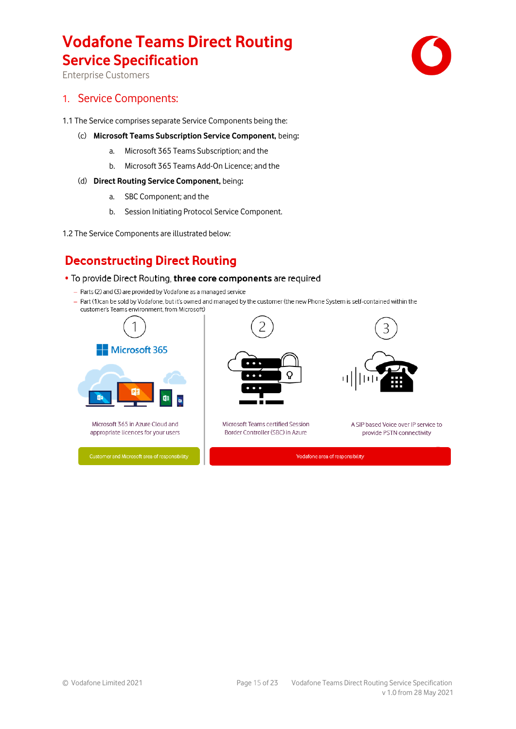Enterprise Customers

### 1. Service Components:

- 1.1 The Service comprises separate Service Components being the:
	- (c) **Microsoft Teams Subscription Service Component,** being**:**
		- a. Microsoft 365 Teams Subscription; and the
		- b. Microsoft 365 Teams Add-On Licence; and the

#### (d) **Direct Routing Service Component,** being**:**

- a. SBC Component; and the
- b. Session Initiating Protocol Service Component.
- 1.2 The Service Components are illustrated below:

### **Deconstructing Direct Routing**

#### . To provide Direct Routing, three core components are required

- Parts (2) and (3) are provided by Vodafone as a managed service
- Part (1)can be sold by Vodafone, but it's owned and managed by the customer (the new Phone System is self-contained within the customer's Teams environment, from Microsoft)





Microsoft Teams certified Session Border Controller (SBC) in Azure

A SIP based Voice over IP service to provide PSTN connectivity

Vodafone area of responsibility

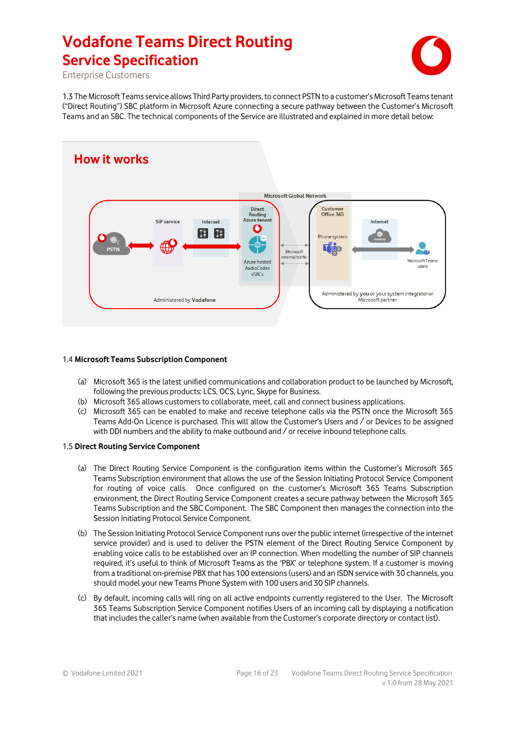

Enterprise Customers

1.3 The Microsoft Teams service allows Third Party providers, to connect PSTN to a customer's Microsoft Teams tenant ("Direct Routing") SBC platform in Microsoft Azure connecting a secure pathway between the Customer's Microsoft Teams and an SBC. The technical components of the Service are illustrated and explained in more detail below:



#### 1.4 **Microsoft Teams Subscription Component**

- (a) Microsoft 365 is the latest unified communications and collaboration product to be launched by Microsoft, following the previous products: LCS, OCS, Lync, Skype for Business.
- (b) Microsoft 365 allows customers to collaborate, meet, call and connect business applications.
- (c) Microsoft 365 can be enabled to make and receive telephone calls via the PSTN once the Microsoft 365 Teams Add-On Licence is purchased. This will allow the Customer's Users and / or Devices to be assigned with DDI numbers and the ability to make outbound and / or receive inbound telephone calls.

#### 1.5 **Direct Routing Service Component**

- (a) The Direct Routing Service Component is the configuration items within the Customer's Microsoft 365 Teams Subscription environment that allows the use of the Session Initiating Protocol Service Component for routing of voice calls. Once configured on the customer's Microsoft 365 Teams Subscription environment, the Direct Routing Service Component creates a secure pathway between the Microsoft 365 Teams Subscription and the SBC Component. The SBC Component then manages the connection into the Session Initiating Protocol Service Component.
- (b) The Session Initiating Protocol Service Component runs over the public internet (irrespective of the internet service provider) and is used to deliver the PSTN element of the Direct Routing Service Component by enabling voice calls to be established over an IP connection. When modelling the number of SIP channels required, it's useful to think of Microsoft Teams as the 'PBX' or telephone system. If a customer is moving from a traditional on-premise PBX that has 100 extensions (users) and an ISDN service with 30 channels, you should model your new Teams Phone System with 100 users and 30 SIP channels.
- (c) By default, incoming calls will ring on all active endpoints currently registered to the User. The Microsoft 365 Teams Subscription Service Component notifies Users of an incoming call by displaying a notification that includes the caller's name (when available from the Customer's corporate directory or contact list).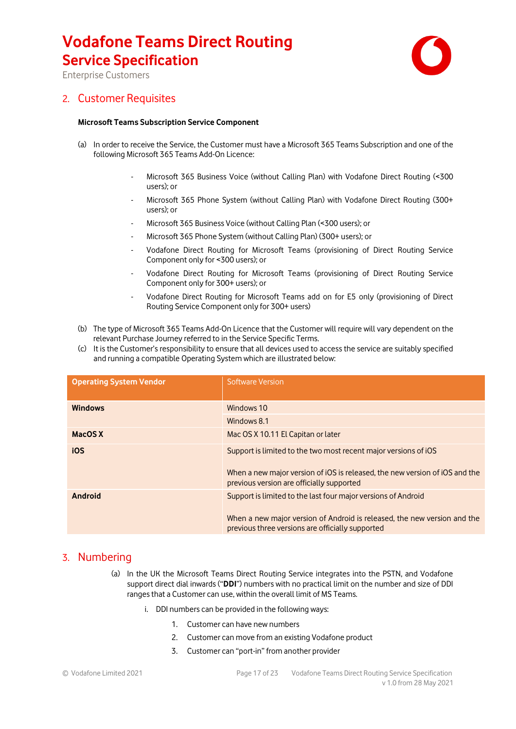

Enterprise Customers

### 2. Customer Requisites

#### **Microsoft Teams Subscription Service Component**

- (a) In order to receive the Service, the Customer must have a Microsoft 365 Teams Subscription and one of the following Microsoft 365 Teams Add-On Licence:
	- Microsoft 365 Business Voice (without Calling Plan) with Vodafone Direct Routing (<300 users); or
	- Microsoft 365 Phone System (without Calling Plan) with Vodafone Direct Routing (300+ users); or
	- Microsoft 365 Business Voice (without Calling Plan (<300 users); or
	- Microsoft 365 Phone System (without Calling Plan) (300+ users); or
	- Vodafone Direct Routing for Microsoft Teams (provisioning of Direct Routing Service Component only for <300 users); or
	- Vodafone Direct Routing for Microsoft Teams (provisioning of Direct Routing Service Component only for 300+ users); or
	- Vodafone Direct Routing for Microsoft Teams add on for E5 only (provisioning of Direct Routing Service Component only for 300+ users)
- (b) The type of Microsoft 365 Teams Add-On Licence that the Customer will require will vary dependent on the relevant Purchase Journey referred to in the Service Specific Terms.
- (c) It is the Customer's responsibility to ensure that all devices used to access the service are suitably specified and running a compatible Operating System which are illustrated below:

| <b>Operating System Vendor</b> | <b>Software Version</b>                                                                                                                                                                       |
|--------------------------------|-----------------------------------------------------------------------------------------------------------------------------------------------------------------------------------------------|
| <b>Windows</b>                 | Windows 10                                                                                                                                                                                    |
|                                | Windows 8.1                                                                                                                                                                                   |
| MacOS X                        | Mac OS X 10.11 El Capitan or later                                                                                                                                                            |
| <b>iOS</b>                     | Support is limited to the two most recent major versions of iOS<br>When a new major version of iOS is released, the new version of iOS and the<br>previous version are officially supported   |
| Android                        | Support is limited to the last four major versions of Android<br>When a new major version of Android is released, the new version and the<br>previous three versions are officially supported |

### 3. Numbering

- (a) In the UK the Microsoft Teams Direct Routing Service integrates into the PSTN, and Vodafone support direct dial inwards ("**DDI**") numbers with no practical limit on the number and size of DDI ranges that a Customer can use, within the overall limit of MS Teams.
	- i. DDI numbers can be provided in the following ways:
		- 1. Customer can have new numbers
		- 2. Customer can move from an existing Vodafone product
		- 3. Customer can "port-in" from another provider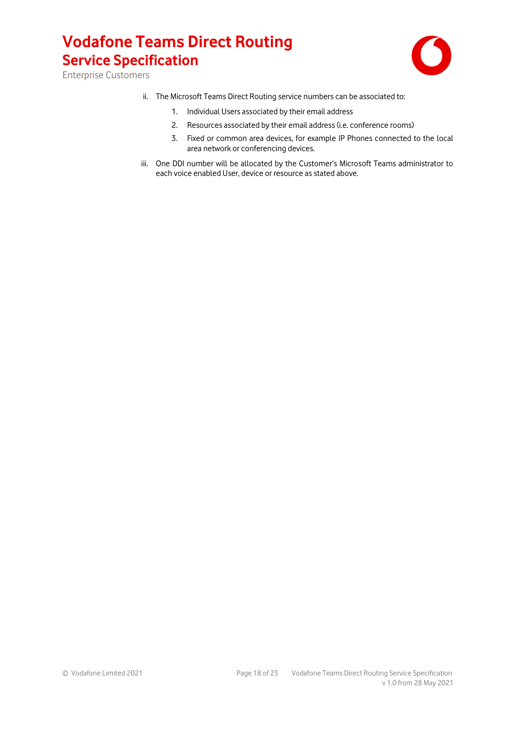

Enterprise Customers

- ii. The Microsoft Teams Direct Routing service numbers can be associated to:
	- 1. Individual Users associated by their email address
	- 2. Resources associated by their email address (i.e. conference rooms)
	- 3. Fixed or common area devices, for example IP Phones connected to the local area network or conferencing devices.
- iii. One DDI number will be allocated by the Customer's Microsoft Teams administrator to each voice enabled User, device or resource as stated above.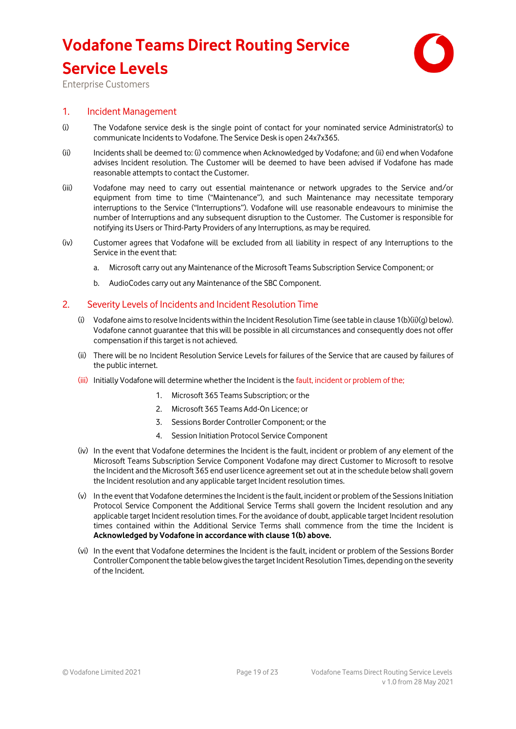# **Vodafone Teams Direct Routing Service Service Levels**



Enterprise Customers

### 1. Incident Management

- (i) The Vodafone service desk is the single point of contact for your nominated service Administrator(s) to communicate Incidents to Vodafone. The Service Desk is open 24x7x365.
- (ii) Incidents shall be deemed to: (i) commence when Acknowledged by Vodafone; and (ii) end when Vodafone advises Incident resolution. The Customer will be deemed to have been advised if Vodafone has made reasonable attempts to contact the Customer.
- (iii) Vodafone may need to carry out essential maintenance or network upgrades to the Service and/or equipment from time to time ("Maintenance"), and such Maintenance may necessitate temporary interruptions to the Service ("Interruptions"). Vodafone will use reasonable endeavours to minimise the number of Interruptions and any subsequent disruption to the Customer. The Customer is responsible for notifying its Users or Third-Party Providers of any Interruptions, as may be required.
- (iv) Customer agrees that Vodafone will be excluded from all liability in respect of any Interruptions to the Service in the event that:
	- a. Microsoft carry out any Maintenance of the Microsoft Teams Subscription Service Component; or
	- b. AudioCodes carry out any Maintenance of the SBC Component.

#### 2. Severity Levels of Incidents and Incident Resolution Time

- (i) Vodafone aims to resolve Incidents within the Incident Resolution Time (see table in clause 1(b)(ii)(g) below). Vodafone cannot guarantee that this will be possible in all circumstances and consequently does not offer compensation if this target is not achieved.
- (ii) There will be no Incident Resolution Service Levels for failures of the Service that are caused by failures of the public internet.
- (iii) Initially Vodafone will determine whether the Incident is the fault, incident or problem of the;
	- 1. Microsoft 365 Teams Subscription; or the
	- 2. Microsoft 365 Teams Add-On Licence; or
	- 3. Sessions Border Controller Component; or the
	- 4. Session Initiation Protocol Service Component
- (iv) In the event that Vodafone determines the Incident is the fault, incident or problem of any element of the Microsoft Teams Subscription Service Component Vodafone may direct Customer to Microsoft to resolve the Incident and the Microsoft 365 end user licence agreement set out at in the schedule below shall govern the Incident resolution and any applicable target Incident resolution times.
- (v) In the event that Vodafone determines the Incident is the fault, incident or problem of the Sessions Initiation Protocol Service Component the Additional Service Terms shall govern the Incident resolution and any applicable target Incident resolution times. For the avoidance of doubt, applicable target Incident resolution times contained within the Additional Service Terms shall commence from the time the Incident is **Acknowledged by Vodafone in accordance with clause 1(b) above.**
- (vi) In the event that Vodafone determines the Incident is the fault, incident or problem of the Sessions Border Controller Component the table below gives the target Incident Resolution Times, depending on the severity of the Incident.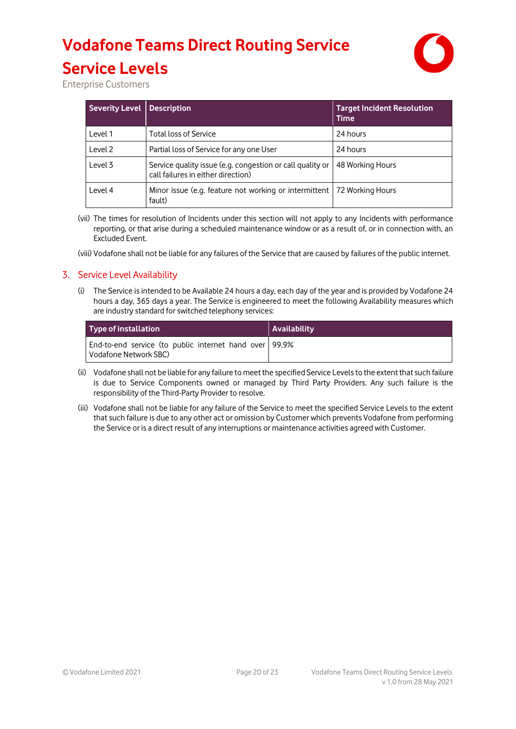# **Vodafone Teams Direct Routing Service**



**Service Levels**  Enterprise Customers

| <b>Severity Level</b> | <b>Description</b>                                                                              | <b>Target Incident Resolution</b><br><b>Time</b> |
|-----------------------|-------------------------------------------------------------------------------------------------|--------------------------------------------------|
| Level 1               | <b>Total loss of Service</b>                                                                    | 24 hours                                         |
| Level 2               | Partial loss of Service for any one User                                                        | 24 hours                                         |
| Level 3               | Service quality issue (e.g. congestion or call quality or<br>call failures in either direction) | 48 Working Hours                                 |
| Level 4               | Minor issue (e.g. feature not working or intermittent   72 Working Hours<br>fault)              |                                                  |

(vii) The times for resolution of Incidents under this section will not apply to any Incidents with performance reporting, or that arise during a scheduled maintenance window or as a result of, or in connection with, an Excluded Event.

(viii) Vodafone shall not be liable for any failures of the Service that are caused by failures of the public internet.

### 3. Service Level Availability

(i) The Service is intended to be Available 24 hours a day, each day of the year and is provided by Vodafone 24 hours a day, 365 days a year. The Service is engineered to meet the following Availability measures which are industry standard for switched telephony services:

| Type of installation                                                                | Availability |
|-------------------------------------------------------------------------------------|--------------|
| End-to-end service (to public internet hand over   99.9%<br>l Vodafone Network SBC) |              |

- (ii) Vodafone shall not be liable for any failure to meet the specified Service Levels to the extent that such failure is due to Service Components owned or managed by Third Party Providers. Any such failure is the responsibility of the Third-Party Provider to resolve.
- (iii) Vodafone shall not be liable for any failure of the Service to meet the specified Service Levels to the extent that such failure is due to any other act or omission by Customer which prevents Vodafone from performing the Service or is a direct result of any interruptions or maintenance activities agreed with Customer.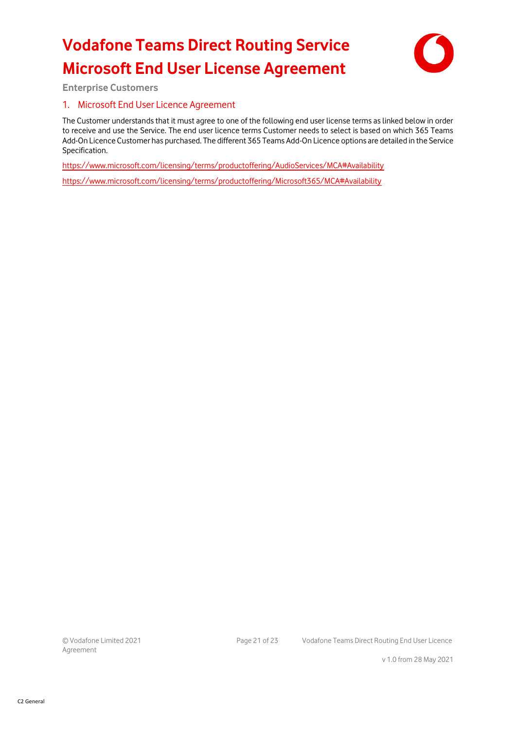# **Vodafone Teams Direct Routing Service Microsoft End User License Agreement**



**Enterprise Customers**

### 1. Microsoft End User Licence Agreement

The Customer understands that it must agree to one of the following end user license terms as linked below in order to receive and use the Service. The end user licence terms Customer needs to select is based on which 365 Teams Add-On Licence Customer has purchased. The different 365 Teams Add-On Licence options are detailed in the Service Specification.

<https://www.microsoft.com/licensing/terms/productoffering/AudioServices/MCA#Availability>

<https://www.microsoft.com/licensing/terms/productoffering/Microsoft365/MCA#Availability>

Agreement

© Vodafone Limited 2021 Page 21 of 23 Vodafone Teams Direct Routing End User Licence

v 1.0 from 28 May 2021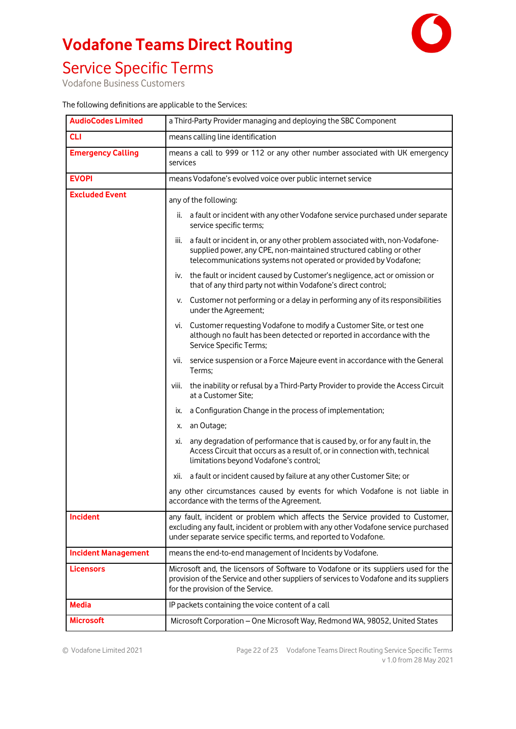# **Vodafone Teams Direct Routing**



## Service Specific Terms

Vodafone Business Customers

| <b>AudioCodes Limited</b>  | a Third-Party Provider managing and deploying the SBC Component                                                                                                                                                                          |  |
|----------------------------|------------------------------------------------------------------------------------------------------------------------------------------------------------------------------------------------------------------------------------------|--|
| <b>CLI</b>                 | means calling line identification                                                                                                                                                                                                        |  |
| <b>Emergency Calling</b>   | means a call to 999 or 112 or any other number associated with UK emergency<br>services                                                                                                                                                  |  |
| <b>EVOPI</b>               | means Vodafone's evolved voice over public internet service                                                                                                                                                                              |  |
| <b>Excluded Event</b>      | any of the following:                                                                                                                                                                                                                    |  |
|                            | a fault or incident with any other Vodafone service purchased under separate<br>ii.<br>service specific terms;                                                                                                                           |  |
|                            | a fault or incident in, or any other problem associated with, non-Vodafone-<br>Ш.<br>supplied power, any CPE, non-maintained structured cabling or other<br>telecommunications systems not operated or provided by Vodafone;             |  |
|                            | iv. the fault or incident caused by Customer's negligence, act or omission or<br>that of any third party not within Vodafone's direct control;                                                                                           |  |
|                            | Customer not performing or a delay in performing any of its responsibilities<br>v.<br>under the Agreement;                                                                                                                               |  |
|                            | Customer requesting Vodafone to modify a Customer Site, or test one<br>VI.<br>although no fault has been detected or reported in accordance with the<br>Service Specific Terms;                                                          |  |
|                            | service suspension or a Force Majeure event in accordance with the General<br>Vİİ.<br>Terms;                                                                                                                                             |  |
|                            | the inability or refusal by a Third-Party Provider to provide the Access Circuit<br>VIII.<br>at a Customer Site;                                                                                                                         |  |
|                            | a Configuration Change in the process of implementation;<br>IX.                                                                                                                                                                          |  |
|                            | an Outage;<br>Х.                                                                                                                                                                                                                         |  |
|                            | any degradation of performance that is caused by, or for any fault in, the<br>XI.<br>Access Circuit that occurs as a result of, or in connection with, technical<br>limitations beyond Vodafone's control;                               |  |
|                            | a fault or incident caused by failure at any other Customer Site; or<br>XII.                                                                                                                                                             |  |
|                            | any other circumstances caused by events for which Vodafone is not liable in<br>accordance with the terms of the Agreement.                                                                                                              |  |
| Incident                   | any fault, incident or problem which affects the Service provided to Customer,<br>excluding any fault, incident or problem with any other Vodafone service purchased<br>under separate service specific terms, and reported to Vodafone. |  |
| <b>Incident Management</b> | means the end-to-end management of Incidents by Vodafone.                                                                                                                                                                                |  |
| <b>Licensors</b>           | Microsoft and, the licensors of Software to Vodafone or its suppliers used for the<br>provision of the Service and other suppliers of services to Vodafone and its suppliers<br>for the provision of the Service.                        |  |
| <b>Media</b>               | IP packets containing the voice content of a call                                                                                                                                                                                        |  |
| <b>Microsoft</b>           | Microsoft Corporation - One Microsoft Way, Redmond WA, 98052, United States                                                                                                                                                              |  |